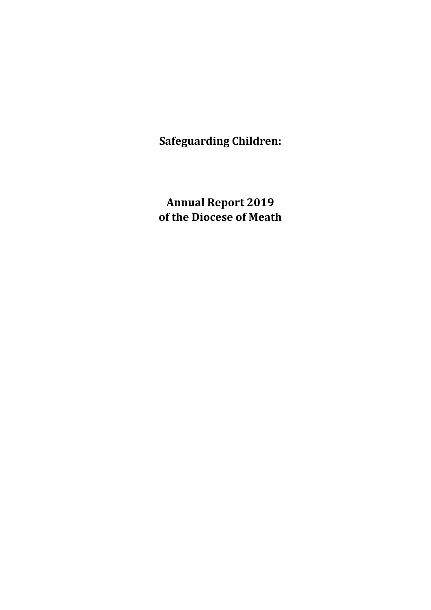**Safeguarding Children:**

**Annual Report 2019 of the Diocese of Meath**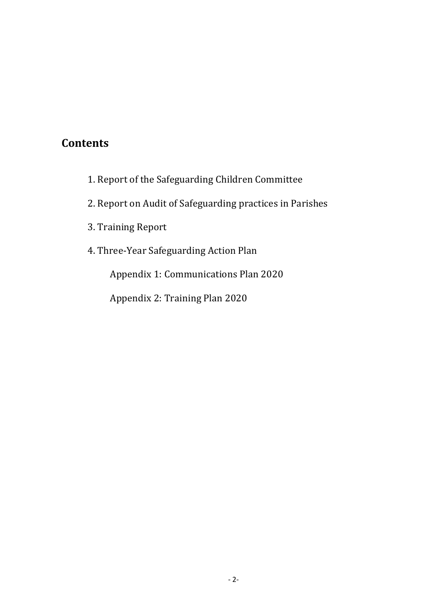# **Contents**

- 1. Report of the Safeguarding Children Committee
- 2. Report on Audit of Safeguarding practices in Parishes
- 3. Training Report
- 4. Three-Year Safeguarding Action Plan

Appendix 1: Communications Plan 2020

 Appendix 2: Training Plan 2020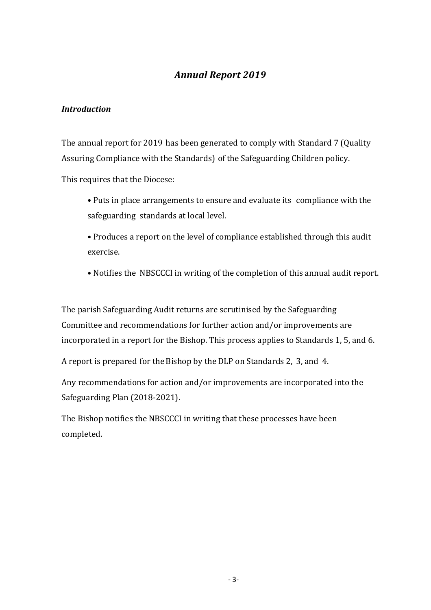## *Annual Report 2019*

### *Introduction*

The annual report for 2019 has been generated to comply with Standard 7 (Quality Assuring Compliance with the Standards) of the Safeguarding Children policy. 

This requires that the Diocese:

• Puts in place arrangements to ensure and evaluate its compliance with the safeguarding standards at local level.

• Produces a report on the level of compliance established through this audit exercise.

• Notifies the NBSCCCI in writing of the completion of this annual audit report.

The parish Safeguarding Audit returns are scrutinised by the Safeguarding Committee and recommendations for further action and/or improvements are incorporated in a report for the Bishop. This process applies to Standards 1, 5, and 6.

A report is prepared for the Bishop by the DLP on Standards 2, 3, and 4.

Any recommendations for action and/or improvements are incorporated into the Safeguarding Plan (2018-2021).

The Bishop notifies the NBSCCCI in writing that these processes have been completed.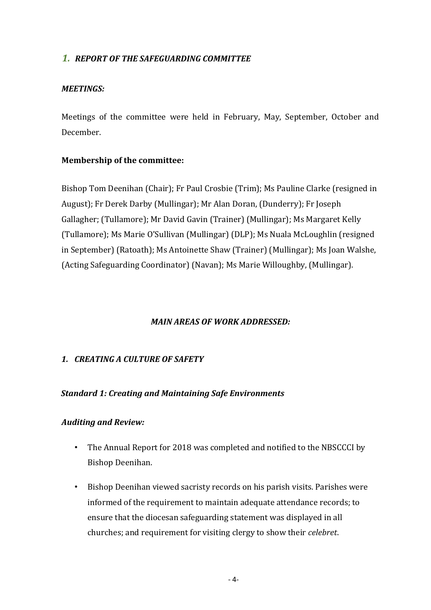### **1. REPORT OF THE SAFEGUARDING COMMITTEE**

### *MEETINGS:*

Meetings of the committee were held in February, May, September, October and December.

### **Membership of the committee:**

Bishop Tom Deenihan (Chair); Fr Paul Crosbie (Trim); Ms Pauline Clarke (resigned in August); Fr Derek Darby (Mullingar); Mr Alan Doran, (Dunderry); Fr Joseph Gallagher; (Tullamore); Mr David Gavin (Trainer) (Mullingar); Ms Margaret Kelly (Tullamore); Ms Marie O'Sullivan (Mullingar) (DLP); Ms Nuala McLoughlin (resigned in September) (Ratoath); Ms Antoinette Shaw (Trainer) (Mullingar); Ms Joan Walshe, (Acting Safeguarding Coordinator) (Navan); Ms Marie Willoughby, (Mullingar).

### *MAIN AREAS OF WORK ADDRESSED:*

### *1. CREATING A CULTURE OF SAFETY*

### **Standard 1: Creating and Maintaining Safe Environments**

### *Auditing and Review:*

- The Annual Report for 2018 was completed and notified to the NBSCCCI by Bishop Deenihan.
- Bishop Deenihan viewed sacristy records on his parish visits. Parishes were informed of the requirement to maintain adequate attendance records; to ensure that the diocesan safeguarding statement was displayed in all churches; and requirement for visiting clergy to show their *celebret*.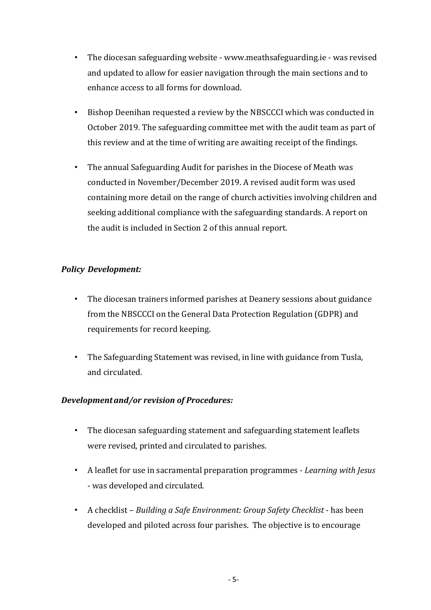- The diocesan safeguarding website www.meathsafeguarding.ie was revised and updated to allow for easier navigation through the main sections and to enhance access to all forms for download.
- Bishop Deenihan requested a review by the NBSCCCI which was conducted in October 2019. The safeguarding committee met with the audit team as part of this review and at the time of writing are awaiting receipt of the findings.
- The annual Safeguarding Audit for parishes in the Diocese of Meath was conducted in November/December 2019. A revised audit form was used containing more detail on the range of church activities involving children and seeking additional compliance with the safeguarding standards. A report on the audit is included in Section 2 of this annual report.

### *Policy Development:*

- The diocesan trainers informed parishes at Deanery sessions about guidance from the NBSCCCI on the General Data Protection Regulation (GDPR) and requirements for record keeping.
- The Safeguarding Statement was revised, in line with guidance from Tusla, and circulated.

### *Developmentand/or revision of Procedures:*

- The diocesan safeguarding statement and safeguarding statement leaflets were revised, printed and circulated to parishes.
- A leaflet for use in sacramental preparation programmes *Learning with Jesus* - was developed and circulated.
- A checklist *Building a Safe Environment: Group Safety Checklist* has been developed and piloted across four parishes. The objective is to encourage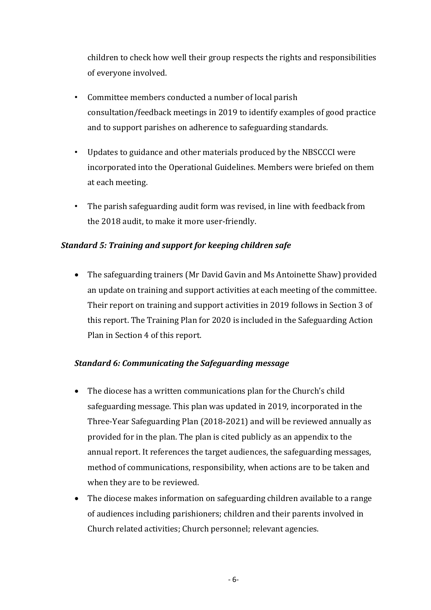children to check how well their group respects the rights and responsibilities of everyone involved.

- Committee members conducted a number of local parish consultation/feedback meetings in 2019 to identify examples of good practice and to support parishes on adherence to safeguarding standards.
- Updates to guidance and other materials produced by the NBSCCCI were incorporated into the Operational Guidelines. Members were briefed on them at each meeting.
- The parish safeguarding audit form was revised, in line with feedback from the 2018 audit, to make it more user-friendly.

### *Standard 5: Training and support for keeping children safe*

• The safeguarding trainers (Mr David Gavin and Ms Antoinette Shaw) provided an update on training and support activities at each meeting of the committee. Their report on training and support activities in 2019 follows in Section 3 of this report. The Training Plan for 2020 is included in the Safeguarding Action Plan in Section 4 of this report.

### **Standard 6: Communicating the Safeguarding message**

- The diocese has a written communications plan for the Church's child safeguarding message. This plan was updated in 2019, incorporated in the Three-Year Safeguarding Plan (2018-2021) and will be reviewed annually as provided for in the plan. The plan is cited publicly as an appendix to the annual report. It references the target audiences, the safeguarding messages, method of communications, responsibility, when actions are to be taken and when they are to be reviewed.
- The diocese makes information on safeguarding children available to a range of audiences including parishioners; children and their parents involved in Church related activities; Church personnel; relevant agencies.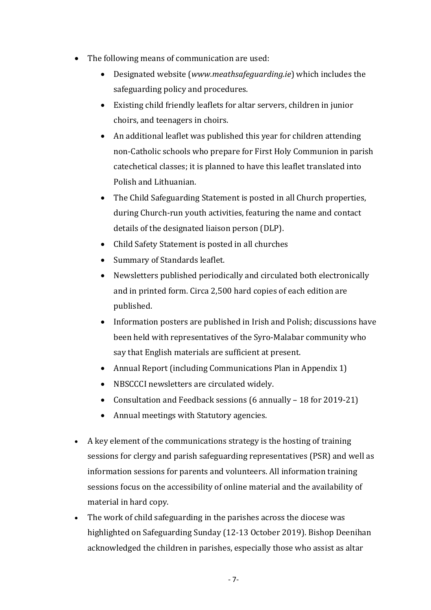- $\bullet$  The following means of communication are used:
	- Designated website (*www.meathsafeguarding.ie*) which includes the safeguarding policy and procedures.
	- Existing child friendly leaflets for altar servers, children in junior choirs, and teenagers in choirs.
	- An additional leaflet was published this year for children attending non-Catholic schools who prepare for First Holy Communion in parish catechetical classes; it is planned to have this leaflet translated into Polish and Lithuanian.
	- The Child Safeguarding Statement is posted in all Church properties, during Church-run youth activities, featuring the name and contact details of the designated liaison person (DLP).
	- Child Safety Statement is posted in all churches
	- Summary of Standards leaflet.
	- Newsletters published periodically and circulated both electronically and in printed form. Circa 2,500 hard copies of each edition are published.
	- Information posters are published in Irish and Polish; discussions have been held with representatives of the Syro-Malabar community who say that English materials are sufficient at present.
	- Annual Report (including Communications Plan in Appendix 1)
	- NBSCCCI newsletters are circulated widely.
	- Consultation and Feedback sessions  $(6 \text{ annually} 18 \text{ for } 2019-21)$
	- Annual meetings with Statutory agencies.
- A key element of the communications strategy is the hosting of training sessions for clergy and parish safeguarding representatives (PSR) and well as information sessions for parents and volunteers. All information training sessions focus on the accessibility of online material and the availability of material in hard copy.
- The work of child safeguarding in the parishes across the diocese was highlighted on Safeguarding Sunday (12-13 October 2019). Bishop Deenihan acknowledged the children in parishes, especially those who assist as altar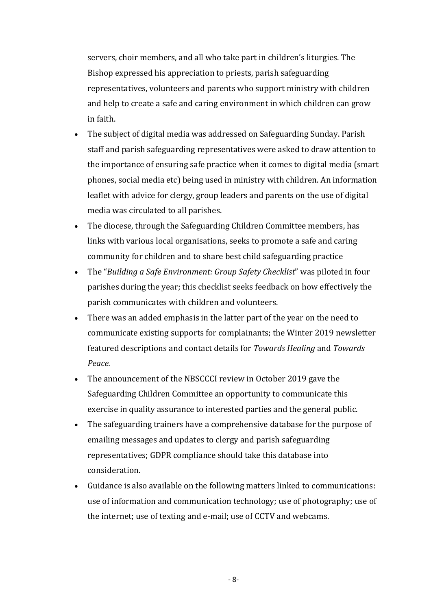servers, choir members, and all who take part in children's liturgies. The Bishop expressed his appreciation to priests, parish safeguarding representatives, volunteers and parents who support ministry with children and help to create a safe and caring environment in which children can grow in faith. 

- The subject of digital media was addressed on Safeguarding Sunday. Parish staff and parish safeguarding representatives were asked to draw attention to the importance of ensuring safe practice when it comes to digital media (smart phones, social media etc) being used in ministry with children. An information leaflet with advice for clergy, group leaders and parents on the use of digital media was circulated to all parishes.
- The diocese, through the Safeguarding Children Committee members, has links with various local organisations, seeks to promote a safe and caring community for children and to share best child safeguarding practice
- The "*Building a Safe Environment: Group Safety Checklist*" was piloted in four parishes during the year; this checklist seeks feedback on how effectively the parish communicates with children and volunteers.
- There was an added emphasis in the latter part of the year on the need to communicate existing supports for complainants; the Winter 2019 newsletter featured descriptions and contact details for *Towards Healing* and *Towards Peace.*
- The announcement of the NBSCCCI review in October 2019 gave the Safeguarding Children Committee an opportunity to communicate this exercise in quality assurance to interested parties and the general public.
- The safeguarding trainers have a comprehensive database for the purpose of emailing messages and updates to clergy and parish safeguarding representatives; GDPR compliance should take this database into consideration.
- Guidance is also available on the following matters linked to communications: use of information and communication technology; use of photography; use of the internet; use of texting and e-mail; use of CCTV and webcams.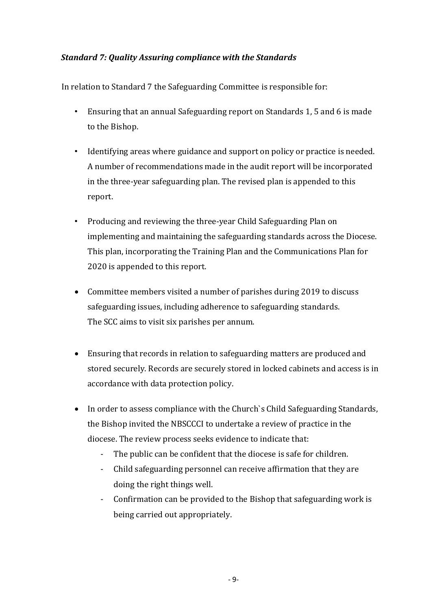### *Standard 7: Quality Assuring compliance with the Standards*

In relation to Standard 7 the Safeguarding Committee is responsible for:

- Ensuring that an annual Safeguarding report on Standards 1, 5 and 6 is made to the Bishop.
- Identifying areas where guidance and support on policy or practice is needed. A number of recommendations made in the audit report will be incorporated in the three-year safeguarding plan. The revised plan is appended to this report.
- Producing and reviewing the three-year Child Safeguarding Plan on implementing and maintaining the safeguarding standards across the Diocese. This plan, incorporating the Training Plan and the Communications Plan for 2020 is appended to this report.
- Committee members visited a number of parishes during 2019 to discuss safeguarding issues, including adherence to safeguarding standards. The SCC aims to visit six parishes per annum.
- Ensuring that records in relation to safeguarding matters are produced and stored securely. Records are securely stored in locked cabinets and access is in accordance with data protection policy.
- In order to assess compliance with the Church's Child Safeguarding Standards, the Bishop invited the NBSCCCI to undertake a review of practice in the diocese. The review process seeks evidence to indicate that:
	- The public can be confident that the diocese is safe for children.
	- Child safeguarding personnel can receive affirmation that they are doing the right things well.
	- Confirmation can be provided to the Bishop that safeguarding work is being carried out appropriately.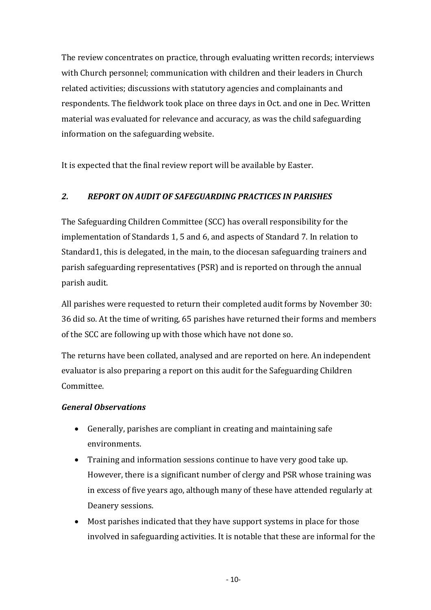The review concentrates on practice, through evaluating written records; interviews with Church personnel; communication with children and their leaders in Church related activities; discussions with statutory agencies and complainants and respondents. The fieldwork took place on three days in Oct. and one in Dec. Written material was evaluated for relevance and accuracy, as was the child safeguarding information on the safeguarding website.

It is expected that the final review report will be available by Easter.

### *2. REPORT ON AUDIT OF SAFEGUARDING PRACTICES IN PARISHES*

The Safeguarding Children Committee (SCC) has overall responsibility for the implementation of Standards 1, 5 and 6, and aspects of Standard 7. In relation to Standard1, this is delegated, in the main, to the diocesan safeguarding trainers and parish safeguarding representatives (PSR) and is reported on through the annual parish audit.

All parishes were requested to return their completed audit forms by November 30: 36 did so. At the time of writing, 65 parishes have returned their forms and members of the SCC are following up with those which have not done so.

The returns have been collated, analysed and are reported on here. An independent evaluator is also preparing a report on this audit for the Safeguarding Children Committee.

### *General Observations*

- Generally, parishes are compliant in creating and maintaining safe environments.
- Training and information sessions continue to have very good take up. However, there is a significant number of clergy and PSR whose training was in excess of five years ago, although many of these have attended regularly at Deanery sessions.
- Most parishes indicated that they have support systems in place for those involved in safeguarding activities. It is notable that these are informal for the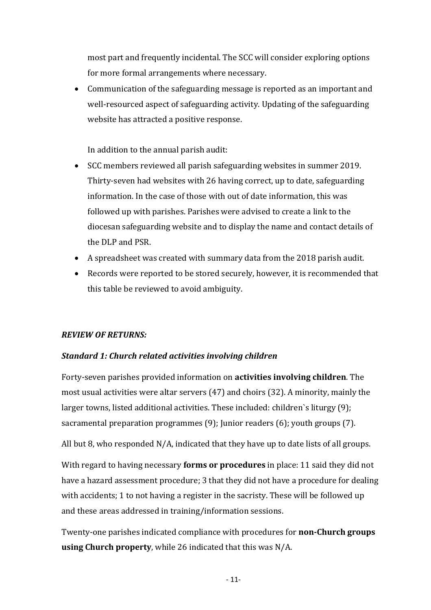most part and frequently incidental. The SCC will consider exploring options for more formal arrangements where necessary.

• Communication of the safeguarding message is reported as an important and well-resourced aspect of safeguarding activity. Updating of the safeguarding website has attracted a positive response.

In addition to the annual parish audit:

- SCC members reviewed all parish safeguarding websites in summer 2019. Thirty-seven had websites with 26 having correct, up to date, safeguarding information. In the case of those with out of date information, this was followed up with parishes. Parishes were advised to create a link to the diocesan safeguarding website and to display the name and contact details of the DLP and PSR.
- A spreadsheet was created with summary data from the 2018 parish audit.
- Records were reported to be stored securely, however, it is recommended that this table be reviewed to avoid ambiguity.

### *REVIEW OF RETURNS:*

### *Standard 1: Church related activities involving children*

Forty-seven parishes provided information on **activities involving children**. The most usual activities were altar servers  $(47)$  and choirs  $(32)$ . A minority, mainly the larger towns, listed additional activities. These included: children`s liturgy  $(9)$ ; sacramental preparation programmes  $(9)$ ; Junior readers  $(6)$ ; youth groups  $(7)$ .

All but 8, who responded  $N/A$ , indicated that they have up to date lists of all groups.

With regard to having necessary **forms or procedures** in place: 11 said they did not have a hazard assessment procedure; 3 that they did not have a procedure for dealing with accidents; 1 to not having a register in the sacristy. These will be followed up and these areas addressed in training/information sessions.

Twenty-one parishes indicated compliance with procedures for **non-Church groups using Church property**, while 26 indicated that this was N/A.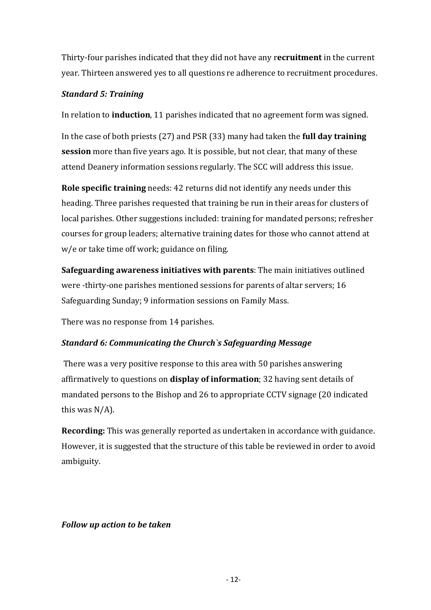Thirty-four parishes indicated that they did not have any recruitment in the current year. Thirteen answered yes to all questions re adherence to recruitment procedures.

### *Standard 5: Training*

In relation to **induction**, 11 parishes indicated that no agreement form was signed.

In the case of both priests (27) and PSR (33) many had taken the **full day training session** more than five years ago. It is possible, but not clear, that many of these attend Deanery information sessions regularly. The SCC will address this issue.

**Role specific training** needs: 42 returns did not identify any needs under this heading. Three parishes requested that training be run in their areas for clusters of local parishes. Other suggestions included: training for mandated persons; refresher courses for group leaders; alternative training dates for those who cannot attend at  $w/e$  or take time off work; guidance on filing.

**Safeguarding awareness initiatives with parents:** The main initiatives outlined were -thirty-one parishes mentioned sessions for parents of altar servers; 16 Safeguarding Sunday; 9 information sessions on Family Mass.

There was no response from 14 parishes.

## *Standard 6: Communicating the Church`s Safeguarding Message*

There was a very positive response to this area with 50 parishes answering affirmatively to questions on **display of information**: 32 having sent details of mandated persons to the Bishop and 26 to appropriate CCTV signage (20 indicated this was  $N/A$ ).

**Recording:** This was generally reported as undertaken in accordance with guidance. However, it is suggested that the structure of this table be reviewed in order to avoid ambiguity.

### *Follow up action to be taken*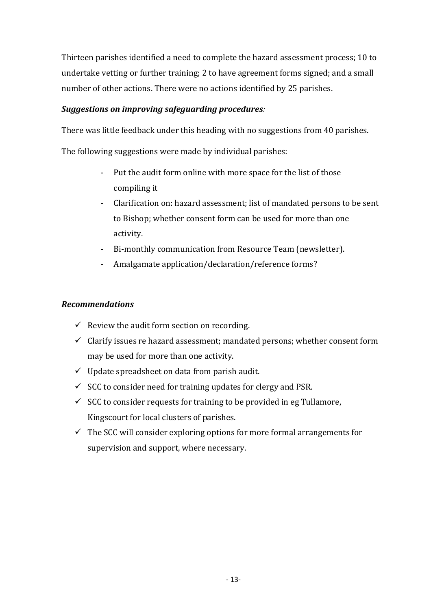Thirteen parishes identified a need to complete the hazard assessment process; 10 to undertake vetting or further training; 2 to have agreement forms signed; and a small number of other actions. There were no actions identified by 25 parishes.

### *Suggestions on improving safeguarding procedures:*

There was little feedback under this heading with no suggestions from 40 parishes.

The following suggestions were made by individual parishes:

- Put the audit form online with more space for the list of those compiling it
- Clarification on: hazard assessment: list of mandated persons to be sent to Bishop; whether consent form can be used for more than one activity.
- Bi-monthly communication from Resource Team (newsletter).
- Amalgamate application/declaration/reference forms?

### *Recommendations*

- $\checkmark$  Review the audit form section on recording.
- $\checkmark$  Clarify issues re hazard assessment; mandated persons; whether consent form may be used for more than one activity.
- $\checkmark$  Update spreadsheet on data from parish audit.
- $\checkmark$  SCC to consider need for training updates for clergy and PSR.
- $\checkmark$  SCC to consider requests for training to be provided in eg Tullamore, Kingscourt for local clusters of parishes.
- $\checkmark$  The SCC will consider exploring options for more formal arrangements for supervision and support, where necessary.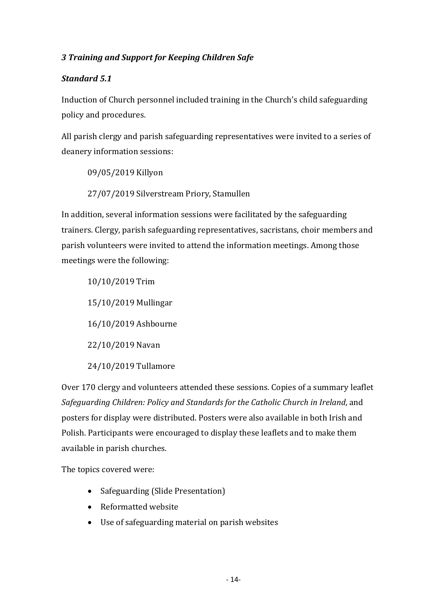### *3 Training and Support for Keeping Children Safe*

### *Standard 5.1*

Induction of Church personnel included training in the Church's child safeguarding policy and procedures.

All parish clergy and parish safeguarding representatives were invited to a series of deanery information sessions:

09/05/2019 Killyon

27/07/2019 Silverstream Priory, Stamullen

In addition, several information sessions were facilitated by the safeguarding trainers. Clergy, parish safeguarding representatives, sacristans, choir members and parish volunteers were invited to attend the information meetings. Among those meetings were the following:

10/10/2019 Trim 15/10/2019 Mullingar 16/10/2019 Ashbourne 22/10/2019 Navan 24/10/2019 Tullamore

Over 170 clergy and volunteers attended these sessions. Copies of a summary leaflet *Safeguarding Children: Policy and Standards for the Catholic Church in Ireland, and* posters for display were distributed. Posters were also available in both Irish and Polish. Participants were encouraged to display these leaflets and to make them available in parish churches.

The topics covered were:

- Safeguarding (Slide Presentation)
- Reformatted website
- Use of safeguarding material on parish websites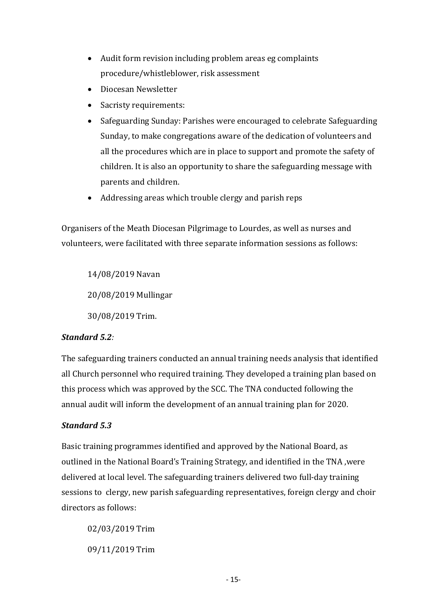- $\bullet$  Audit form revision including problem areas eg complaints procedure/whistleblower, risk assessment
- Diocesan Newsletter
- Sacristy requirements:
- Safeguarding Sunday: Parishes were encouraged to celebrate Safeguarding Sunday, to make congregations aware of the dedication of volunteers and all the procedures which are in place to support and promote the safety of children. It is also an opportunity to share the safeguarding message with parents and children.
- Addressing areas which trouble clergy and parish reps

Organisers of the Meath Diocesan Pilgrimage to Lourdes, as well as nurses and volunteers, were facilitated with three separate information sessions as follows:

14/08/2019 Navan 20/08/2019 Mullingar 30/08/2019 Trim.

### *Standard 5.2:*

The safeguarding trainers conducted an annual training needs analysis that identified all Church personnel who required training. They developed a training plan based on this process which was approved by the SCC. The TNA conducted following the annual audit will inform the development of an annual training plan for 2020.

### *Standard 5.3*

Basic training programmes identified and approved by the National Board, as outlined in the National Board's Training Strategy, and identified in the TNA , were delivered at local level. The safeguarding trainers delivered two full-day training sessions to clergy, new parish safeguarding representatives, foreign clergy and choir directors as follows:

02/03/2019 Trim 09/11/2019 Trim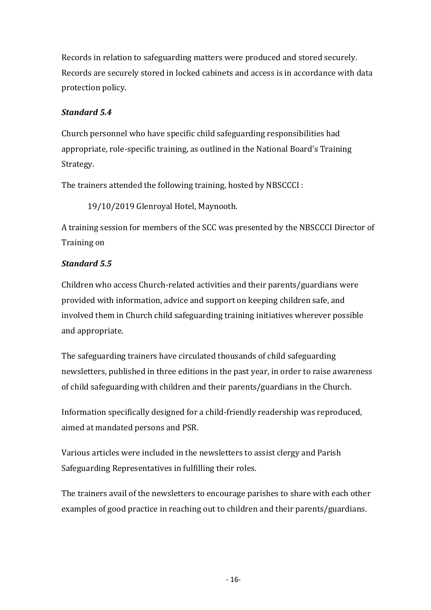Records in relation to safeguarding matters were produced and stored securely. Records are securely stored in locked cabinets and access is in accordance with data protection policy.

### *Standard 5.4*

Church personnel who have specific child safeguarding responsibilities had appropriate, role-specific training, as outlined in the National Board's Training Strategy.

The trainers attended the following training, hosted by NBSCCCI :

19/10/2019 Glenroyal Hotel, Maynooth.

A training session for members of the SCC was presented by the NBSCCCI Director of Training on

### *Standard 5.5*

Children who access Church-related activities and their parents/guardians were provided with information, advice and support on keeping children safe, and involved them in Church child safeguarding training initiatives wherever possible and appropriate.

The safeguarding trainers have circulated thousands of child safeguarding newsletters, published in three editions in the past year, in order to raise awareness of child safeguarding with children and their parents/guardians in the Church.

Information specifically designed for a child-friendly readership was reproduced, aimed at mandated persons and PSR.

Various articles were included in the newsletters to assist clergy and Parish Safeguarding Representatives in fulfilling their roles.

The trainers avail of the newsletters to encourage parishes to share with each other examples of good practice in reaching out to children and their parents/guardians.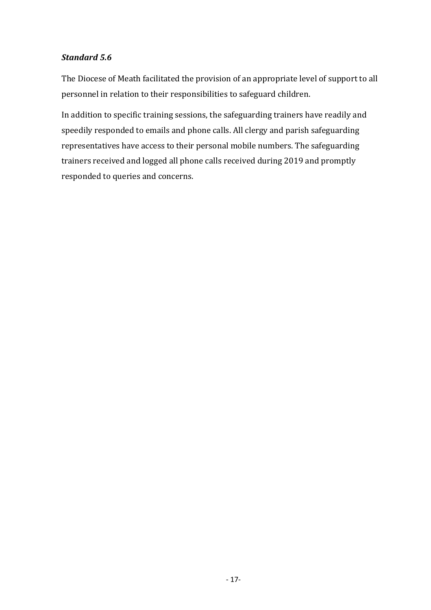### *Standard 5.6*

The Diocese of Meath facilitated the provision of an appropriate level of support to all personnel in relation to their responsibilities to safeguard children.

In addition to specific training sessions, the safeguarding trainers have readily and speedily responded to emails and phone calls. All clergy and parish safeguarding representatives have access to their personal mobile numbers. The safeguarding trainers received and logged all phone calls received during 2019 and promptly responded to queries and concerns.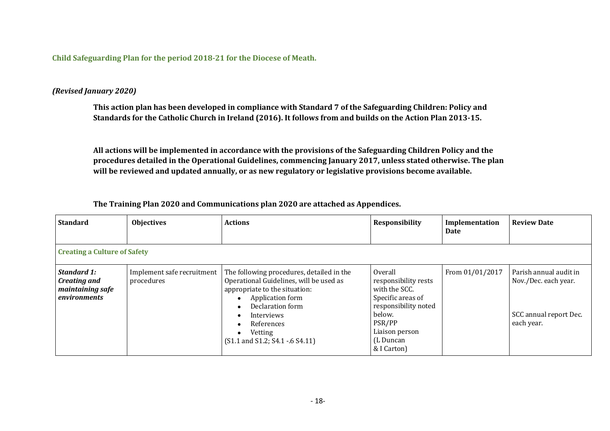Child Safeguarding Plan for the period 2018-21 for the Diocese of Meath.

#### *(Revised January 2020)*

This action plan has been developed in compliance with Standard 7 of the Safeguarding Children: Policy and Standards for the Catholic Church in Ireland (2016). It follows from and builds on the Action Plan 2013-15.

All actions will be implemented in accordance with the provisions of the Safeguarding Children Policy and the procedures detailed in the Operational Guidelines, commencing January 2017, unless stated otherwise. The plan will be reviewed and updated annually, or as new regulatory or legislative provisions become available.

**The Training Plan 2020 and Communications plan 2020 are attached as Appendices.**

| <b>Standard</b>                                                        | <b>Objectives</b>                        | <b>Actions</b>                                                                                                                                                                                                                                                                                           | Responsibility                                                                                                                                                  | Implementation<br>Date | <b>Review Date</b>                                                                     |  |  |  |
|------------------------------------------------------------------------|------------------------------------------|----------------------------------------------------------------------------------------------------------------------------------------------------------------------------------------------------------------------------------------------------------------------------------------------------------|-----------------------------------------------------------------------------------------------------------------------------------------------------------------|------------------------|----------------------------------------------------------------------------------------|--|--|--|
| <b>Creating a Culture of Safety</b>                                    |                                          |                                                                                                                                                                                                                                                                                                          |                                                                                                                                                                 |                        |                                                                                        |  |  |  |
| <b>Standard 1:</b><br>Creating and<br>maintaining safe<br>environments | Implement safe recruitment<br>procedures | The following procedures, detailed in the<br>Operational Guidelines, will be used as<br>appropriate to the situation:<br>Application form<br>$\bullet$<br>Declaration form<br>$\bullet$<br>Interviews<br>$\bullet$<br>References<br>$\bullet$<br>Vetting<br>$\bullet$<br>(S1.1 and S1.2; S4.1 - 6 S4.11) | Overall<br>responsibility rests<br>with the SCC.<br>Specific areas of<br>responsibility noted<br>below.<br>PSR/PP<br>Liaison person<br>(L Duncan<br>& I Carton) | From 01/01/2017        | Parish annual audit in<br>Nov./Dec. each year.<br>SCC annual report Dec.<br>each year. |  |  |  |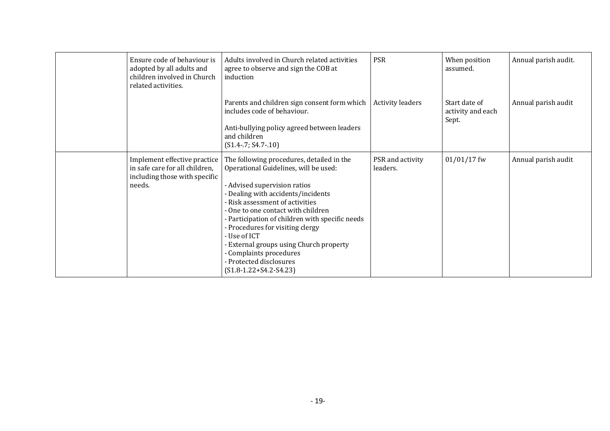| Ensure code of behaviour is<br>adopted by all adults and<br>children involved in Church<br>related activities. | Adults involved in Church related activities<br>agree to observe and sign the COB at<br>induction                                                                                                                                                                                                                                                                                                                                                                   | <b>PSR</b>                   | When position<br>assumed.                   | Annual parish audit. |
|----------------------------------------------------------------------------------------------------------------|---------------------------------------------------------------------------------------------------------------------------------------------------------------------------------------------------------------------------------------------------------------------------------------------------------------------------------------------------------------------------------------------------------------------------------------------------------------------|------------------------------|---------------------------------------------|----------------------|
|                                                                                                                | Parents and children sign consent form which<br>includes code of behaviour.<br>Anti-bullying policy agreed between leaders<br>and children<br>$(S1.4 - 7; S4.7 - 10)$                                                                                                                                                                                                                                                                                               | <b>Activity leaders</b>      | Start date of<br>activity and each<br>Sept. | Annual parish audit  |
| Implement effective practice<br>in safe care for all children,<br>including those with specific<br>needs.      | The following procedures, detailed in the<br>Operational Guidelines, will be used:<br>- Advised supervision ratios<br>- Dealing with accidents/incidents<br>- Risk assessment of activities<br>- One to one contact with children<br>- Participation of children with specific needs<br>- Procedures for visiting clergy<br>- Use of ICT<br>- External groups using Church property<br>Complaints procedures<br>- Protected disclosures<br>$(S1.8-1.22+S4.2-S4.23)$ | PSR and activity<br>leaders. | $01/01/17$ fw                               | Annual parish audit  |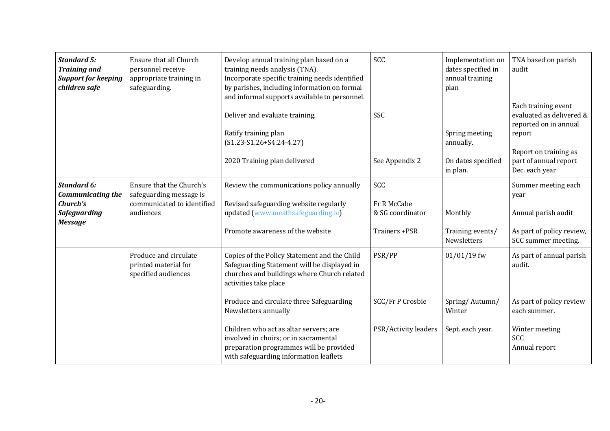| <b>Standard 5:</b><br><b>Training and</b><br><b>Support for keeping</b><br>children safe            | Ensure that all Church<br>personnel receive<br>appropriate training in<br>safeguarding.        | Develop annual training plan based on a<br>training needs analysis (TNA).<br>Incorporate specific training needs identified<br>by parishes, including information on formal<br>and informal supports available to personnel.            | SCC                                                     | Implementation on<br>dates specified in<br>annual training<br>plan | TNA based on parish<br>audit                                                                                                                           |
|-----------------------------------------------------------------------------------------------------|------------------------------------------------------------------------------------------------|-----------------------------------------------------------------------------------------------------------------------------------------------------------------------------------------------------------------------------------------|---------------------------------------------------------|--------------------------------------------------------------------|--------------------------------------------------------------------------------------------------------------------------------------------------------|
|                                                                                                     |                                                                                                | Deliver and evaluate training.<br>Ratify training plan<br>$(S1.23-S1.26+S4.24-4.27)$<br>2020 Training plan delivered                                                                                                                    | SSC<br>See Appendix 2                                   | Spring meeting<br>annually.<br>On dates specified<br>in plan.      | Each training event<br>evaluated as delivered &<br>reported on in annual<br>report<br>Report on training as<br>part of annual report<br>Dec. each year |
| <b>Standard 6:</b><br><b>Communicating the</b><br>Church's<br><b>Safeguarding</b><br><b>Message</b> | Ensure that the Church's<br>safeguarding message is<br>communicated to identified<br>audiences | Review the communications policy annually<br>Revised safeguarding website regularly<br>updated (www.meathsafeguarding.ie)<br>Promote awareness of the website                                                                           | SCC<br>Fr R McCabe<br>& SG coordinator<br>Trainers +PSR | Monthly<br>Training events/<br>Newsletters                         | Summer meeting each<br>year<br>Annual parish audit<br>As part of policy review,<br>SCC summer meeting.                                                 |
|                                                                                                     | Produce and circulate<br>printed material for<br>specified audiences                           | Copies of the Policy Statement and the Child<br>Safeguarding Statement will be displayed in<br>churches and buildings where Church related<br>activities take place<br>Produce and circulate three Safeguarding<br>Newsletters annually | PSR/PP<br>SCC/Fr P Crosbie                              | $01/01/19$ fw<br>Spring/Autumn/<br>Winter                          | As part of annual parish<br>audit.<br>As part of policy review<br>each summer.                                                                         |
|                                                                                                     |                                                                                                | Children who act as altar servers; are<br>involved in choirs; or in sacramental<br>preparation programmes will be provided<br>with safeguarding information leaflets                                                                    | PSR/Activity leaders                                    | Sept. each year.                                                   | Winter meeting<br>SCC<br>Annual report                                                                                                                 |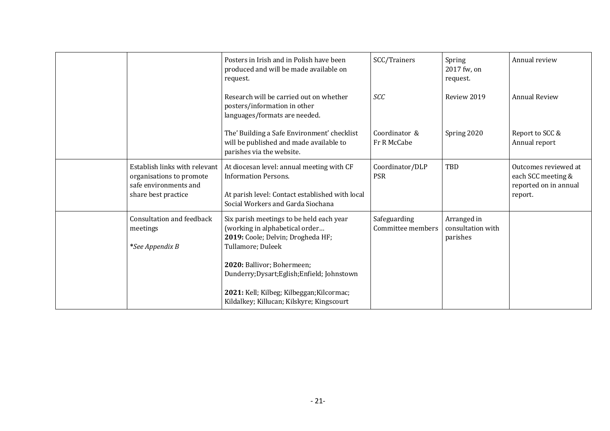|                                                                                                           | Posters in Irish and in Polish have been<br>produced and will be made available on<br>request.                                                                   | SCC/Trainers                      | Spring<br>2017 fw, on<br>request.            | Annual review                                                                  |
|-----------------------------------------------------------------------------------------------------------|------------------------------------------------------------------------------------------------------------------------------------------------------------------|-----------------------------------|----------------------------------------------|--------------------------------------------------------------------------------|
|                                                                                                           | Research will be carried out on whether<br>posters/information in other<br>languages/formats are needed.                                                         | <b>SCC</b>                        | Review 2019                                  | <b>Annual Review</b>                                                           |
|                                                                                                           | The' Building a Safe Environment' checklist<br>will be published and made available to<br>parishes via the website.                                              | Coordinator &<br>Fr R McCabe      | Spring 2020                                  | Report to SCC &<br>Annual report                                               |
| Establish links with relevant<br>organisations to promote<br>safe environments and<br>share best practice | At diocesan level: annual meeting with CF<br><b>Information Persons.</b><br>At parish level: Contact established with local<br>Social Workers and Garda Siochana | Coordinator/DLP<br><b>PSR</b>     | TBD                                          | Outcomes reviewed at<br>each SCC meeting &<br>reported on in annual<br>report. |
| <b>Consultation and feedback</b><br>meetings<br>*See Appendix B                                           | Six parish meetings to be held each year<br>(working in alphabetical order<br>2019: Coole; Delvin; Drogheda HF;<br>Tullamore; Duleek                             | Safeguarding<br>Committee members | Arranged in<br>consultation with<br>parishes |                                                                                |
|                                                                                                           | 2020: Ballivor; Bohermeen;<br>Dunderry; Dysart; Eglish; Enfield; Johnstown                                                                                       |                                   |                                              |                                                                                |
|                                                                                                           | 2021: Kell; Kilbeg; Kilbeggan; Kilcormac;<br>Kildalkey; Killucan; Kilskyre; Kingscourt                                                                           |                                   |                                              |                                                                                |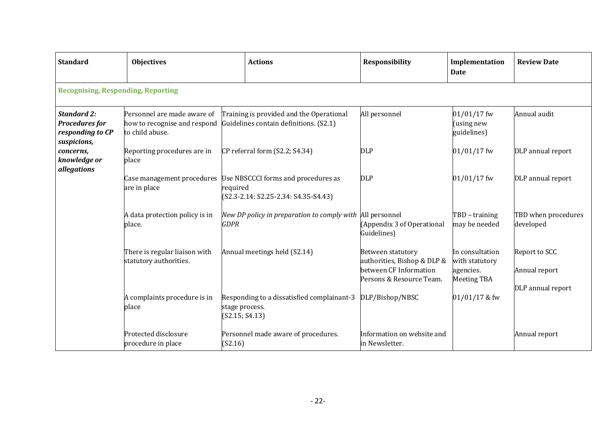| <b>Standard</b>                                                                | <b>Objectives</b>                                                              |                                  | <b>Actions</b>                                                                     | Responsibility                                                                                                | Implementation<br>Date                                               | <b>Review Date</b>               |
|--------------------------------------------------------------------------------|--------------------------------------------------------------------------------|----------------------------------|------------------------------------------------------------------------------------|---------------------------------------------------------------------------------------------------------------|----------------------------------------------------------------------|----------------------------------|
| <b>Recognising, Responding, Reporting</b>                                      |                                                                                |                                  |                                                                                    |                                                                                                               |                                                                      |                                  |
| <b>Standard 2:</b><br><b>Procedures for</b><br>responding to CP<br>suspicions, | Personnel are made aware of<br>how to recognise and respond<br>to child abuse. |                                  | Training is provided and the Operational<br>Guidelines contain definitions. (S2.1) | All personnel                                                                                                 | 01/01/17 fw<br>(using new<br>guidelines)                             | Annual audit                     |
| concerns,<br>knowledge or<br>allegations                                       | Reporting procedures are in<br>place                                           |                                  | CP referral form (S2.2; S4.34)                                                     | <b>DLP</b>                                                                                                    | $01/01/17$ fw                                                        | DLP annual report                |
|                                                                                | Case management procedures<br>are in place                                     | required                         | Use NBSCCCI forms and procedures as<br>(S2.3-2.14: S2.25-2.34: S4.35-S4.43)        | <b>DLP</b>                                                                                                    | 01/01/17 fw                                                          | DLP annual report                |
|                                                                                | A data protection policy is in<br>place.                                       | <b>GDPR</b>                      | New DP policy in preparation to comply with All personnel                          | (Appendix 3 of Operational<br>Guidelines)                                                                     | TBD - training<br>may be needed                                      | TBD when procedures<br>developed |
|                                                                                | There is regular liaison with<br>statutory authorities.                        |                                  | Annual meetings held (S2.14)                                                       | <b>Between statutory</b><br>authorities, Bishop & DLP &<br>between CF Information<br>Persons & Resource Team. | In consultation<br>with statutory<br>agencies.<br><b>Meeting TBA</b> | Report to SCC<br>Annual report   |
|                                                                                | A complaints procedure is in<br>place                                          | stage process.<br>(S2.15; S4.13) | Responding to a dissatisfied complainant-3 DLP/Bishop/NBSC                         |                                                                                                               | 01/01/17 & fw                                                        | DLP annual report                |
|                                                                                | Protected disclosure<br>procedure in place                                     | (S2.16)                          | Personnel made aware of procedures.                                                | Information on website and<br>in Newsletter.                                                                  |                                                                      | Annual report                    |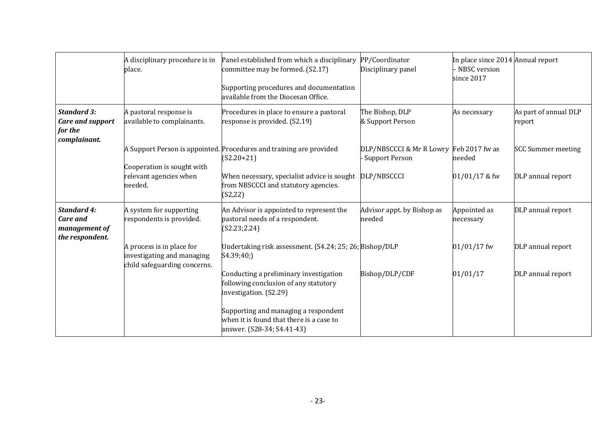|                                                                          | A disciplinary procedure is in<br>place.                                                | Panel established from which a disciplinary<br>committee may be formed. (S2.17)<br>Supporting procedures and documentation<br>available from the Diocesan Office. | PP/Coordinator<br>Disciplinary panel                             | In place since 2014 Annual report<br>- NBSC version<br>since 2017 |                                 |
|--------------------------------------------------------------------------|-----------------------------------------------------------------------------------------|-------------------------------------------------------------------------------------------------------------------------------------------------------------------|------------------------------------------------------------------|-------------------------------------------------------------------|---------------------------------|
| <b>Standard 3:</b><br><b>Care and support</b><br>for the<br>complainant. | A pastoral response is<br>available to complainants.                                    | Procedures in place to ensure a pastoral<br>response is provided. (S2.19)                                                                                         | The Bishop, DLP<br>& Support Person                              | As necessary                                                      | As part of annual DLP<br>report |
|                                                                          | Cooperation is sought with                                                              | A Support Person is appointed. Procedures and training are provided<br>$(S2.20+21)$                                                                               | DLP/NBSCCCI & Mr R Lowry Feb 2017 fw as<br><b>Support Person</b> | needed                                                            | <b>SCC Summer meeting</b>       |
|                                                                          | relevant agencies when<br>needed.                                                       | When necessary, specialist advice is sought<br>from NBSCCCI and statutory agencies.<br>(S2, 22)                                                                   | DLP/NBSCCCI                                                      | $01/01/17$ & fw                                                   | DLP annual report               |
| <b>Standard 4:</b><br>Care and<br>management of<br>the respondent.       | A system for supporting<br>respondents is provided.                                     | An Advisor is appointed to represent the<br>pastoral needs of a respondent.<br>(S2.23; 2.24)                                                                      | Advisor appt. by Bishop as<br>needed                             | Appointed as<br>necessary                                         | DLP annual report               |
|                                                                          | A process is in place for<br>investigating and managing<br>child safeguarding concerns. | Undertaking risk assessment. (S4.24; 25; 26; Bishop/DLP<br>S4.39;40;                                                                                              |                                                                  | $01/01/17$ fw                                                     | DLP annual report               |
|                                                                          |                                                                                         | Conducting a preliminary investigation<br>following conclusion of any statutory<br>investigation. (S2.29)                                                         | Bishop/DLP/CDF                                                   | 01/01/17                                                          | DLP annual report               |
|                                                                          |                                                                                         | Supporting and managing a respondent<br>when it is found that there is a case to<br>answer. (S28-34; S4.41-43)                                                    |                                                                  |                                                                   |                                 |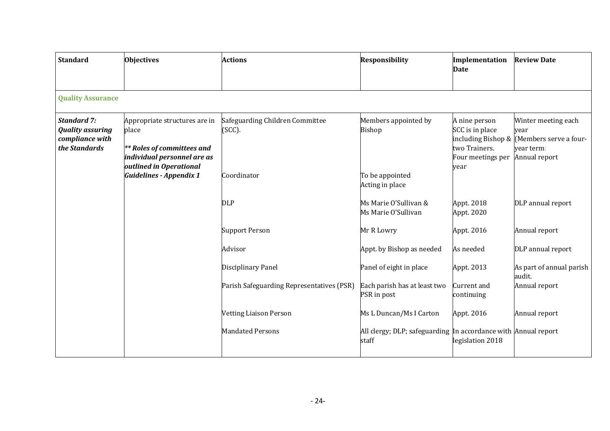| <b>Standard</b>                                                                   | <b>Objectives</b>                                                                                                                     | <b>Actions</b>                            | <b>Responsibility</b>                                                   | Implementation<br>Date                                                                               | <b>Review Date</b>                                                                  |
|-----------------------------------------------------------------------------------|---------------------------------------------------------------------------------------------------------------------------------------|-------------------------------------------|-------------------------------------------------------------------------|------------------------------------------------------------------------------------------------------|-------------------------------------------------------------------------------------|
| <b>Quality Assurance</b>                                                          |                                                                                                                                       |                                           |                                                                         |                                                                                                      |                                                                                     |
| <b>Standard 7:</b><br><b>Quality assuring</b><br>compliance with<br>the Standards | Appropriate structures are in<br>place<br><b>** Roles of committees and</b><br>individual personnel are as<br>outlined in Operational | Safeguarding Children Committee<br>(SCC). | Members appointed by<br>Bishop                                          | A nine person<br>SCC is in place<br>including Bishop &<br>two Trainers.<br>Four meetings per<br>year | Winter meeting each<br>year<br>Members serve a four-<br>vear term:<br>Annual report |
|                                                                                   | <b>Guidelines - Appendix 1</b>                                                                                                        | Coordinator                               | To be appointed<br>Acting in place                                      |                                                                                                      |                                                                                     |
|                                                                                   |                                                                                                                                       | DLP                                       | Ms Marie O'Sullivan &<br>Ms Marie O'Sullivan                            | Appt. 2018<br>Appt. 2020                                                                             | DLP annual report                                                                   |
|                                                                                   |                                                                                                                                       | <b>Support Person</b>                     | Mr R Lowry                                                              | Appt. 2016                                                                                           | Annual report                                                                       |
|                                                                                   |                                                                                                                                       | Advisor                                   | Appt. by Bishop as needed                                               | As needed                                                                                            | DLP annual report                                                                   |
|                                                                                   |                                                                                                                                       | Disciplinary Panel                        | Panel of eight in place                                                 | Appt. 2013                                                                                           | As part of annual parish<br>audit.                                                  |
|                                                                                   |                                                                                                                                       | Parish Safeguarding Representatives (PSR) | Each parish has at least two<br>PSR in post                             | <b>Current</b> and<br>continuing                                                                     | Annual report                                                                       |
|                                                                                   |                                                                                                                                       | <b>Vetting Liaison Person</b>             | Ms L Duncan/Ms I Carton                                                 | Appt. 2016                                                                                           | Annual report                                                                       |
|                                                                                   |                                                                                                                                       | <b>Mandated Persons</b>                   | All clergy; DLP; safeguarding In accordance with Annual report<br>staff | legislation 2018                                                                                     |                                                                                     |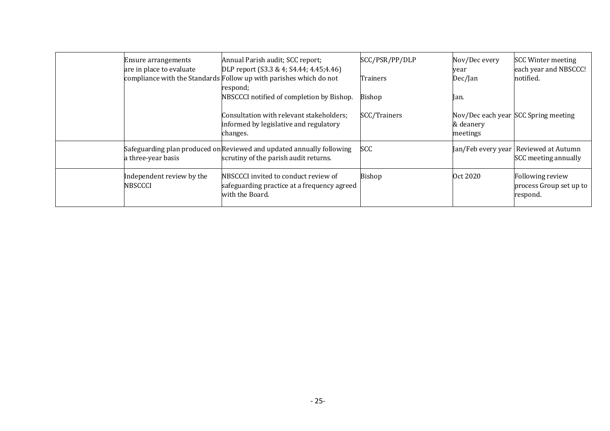| Ensure arrangements<br>are in place to evaluate | Annual Parish audit; SCC report;<br>DLP report (S3.3 & 4; S4.44; 4.45;4.46)<br>compliance with the Standards Follow up with parishes which do not | SCC/PSR/PP/DLP<br>Trainers | Nov/Dec every<br>year<br>Dec/Jan | <b>SCC Winter meeting</b><br>each year and NBSCCC!<br>notified. |
|-------------------------------------------------|---------------------------------------------------------------------------------------------------------------------------------------------------|----------------------------|----------------------------------|-----------------------------------------------------------------|
|                                                 | respond;<br>NBSCCCI notified of completion by Bishop.                                                                                             | Bishop                     | lan.                             |                                                                 |
|                                                 | Consultation with relevant stakeholders;<br>informed by legislative and regulatory<br>changes.                                                    | SCC/Trainers               | & deanery<br>meetings            | Nov/Dec each year SCC Spring meeting                            |
| a three-year basis                              | Safeguarding plan produced on Reviewed and updated annually following<br>scrutiny of the parish audit returns.                                    | SCC                        |                                  | Jan/Feb every year Reviewed at Autumn<br>SCC meeting annually   |
| Independent review by the<br><b>NBSCCCI</b>     | NBSCCCI invited to conduct review of<br>safeguarding practice at a frequency agreed<br>with the Board.                                            | <b>Bishop</b>              | Oct 2020                         | Following review<br>process Group set up to<br>respond.         |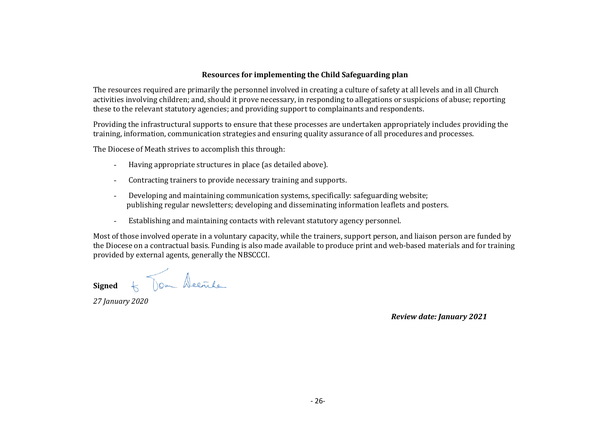#### **Resources for implementing the Child Safeguarding plan**

The resources required are primarily the personnel involved in creating a culture of safety at all levels and in all Church activities involving children; and, should it prove necessary, in responding to allegations or suspicions of abuse; reporting these to the relevant statutory agencies; and providing support to complainants and respondents.

Providing the infrastructural supports to ensure that these processes are undertaken appropriately includes providing the training, information, communication strategies and ensuring quality assurance of all procedures and processes.

The Diocese of Meath strives to accomplish this through:

- Having appropriate structures in place (as detailed above).
- Contracting trainers to provide necessary training and supports.
- Developing and maintaining communication systems, specifically: safeguarding website; publishing regular newsletters; developing and disseminating information leaflets and posters.
- Establishing and maintaining contacts with relevant statutory agency personnel.

Most of those involved operate in a voluntary capacity, while the trainers, support person, and liaison person are funded by the Diocese on a contractual basis. Funding is also made available to produce print and web-based materials and for training provided by external agents, generally the NBSCCCI.

**Signed**  $\angle$  Tom Decrete

*27 January 2020*

*Review date: January 2021*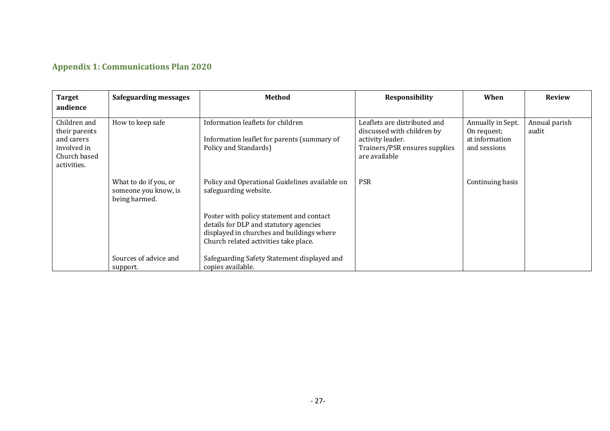# **Appendix 1: Communications Plan 2020**

| <b>Target</b><br>audience                                                                 | <b>Safeguarding messages</b>                                   | Method                                                                                                                                                                   | <b>Responsibility</b>                                                                                                            | When                                                               | <b>Review</b>          |
|-------------------------------------------------------------------------------------------|----------------------------------------------------------------|--------------------------------------------------------------------------------------------------------------------------------------------------------------------------|----------------------------------------------------------------------------------------------------------------------------------|--------------------------------------------------------------------|------------------------|
| Children and<br>their parents<br>and carers<br>involved in<br>Church based<br>activities. | How to keep safe                                               | Information leaflets for children<br>Information leaflet for parents (summary of<br>Policy and Standards)                                                                | Leaflets are distributed and<br>discussed with children by<br>activity leader.<br>Trainers/PSR ensures supplies<br>are available | Annually in Sept.<br>On request;<br>at information<br>and sessions | Annual parish<br>audit |
|                                                                                           | What to do if you, or<br>someone you know, is<br>being harmed. | Policy and Operational Guidelines available on<br>safeguarding website.                                                                                                  | <b>PSR</b>                                                                                                                       | Continuing basis                                                   |                        |
|                                                                                           |                                                                | Poster with policy statement and contact<br>details for DLP and statutory agencies<br>displayed in churches and buildings where<br>Church related activities take place. |                                                                                                                                  |                                                                    |                        |
|                                                                                           | Sources of advice and<br>support.                              | Safeguarding Safety Statement displayed and<br>copies available.                                                                                                         |                                                                                                                                  |                                                                    |                        |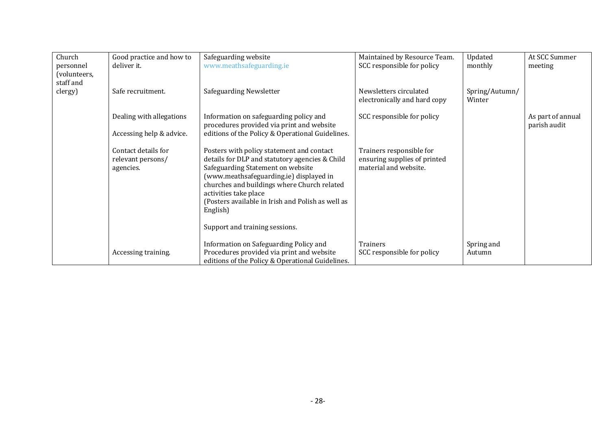| Church       | Good practice and how to | Safeguarding website                              | Maintained by Resource Team. | Updated        | At SCC Summer     |
|--------------|--------------------------|---------------------------------------------------|------------------------------|----------------|-------------------|
|              |                          |                                                   |                              |                |                   |
| personnel    | deliver it.              | www.meathsafeguarding.ie                          | SCC responsible for policy   | monthly        | meeting           |
| (volunteers, |                          |                                                   |                              |                |                   |
| staff and    |                          |                                                   |                              |                |                   |
| clergy)      | Safe recruitment.        | Safeguarding Newsletter                           | Newsletters circulated       | Spring/Autumn/ |                   |
|              |                          |                                                   | electronically and hard copy | Winter         |                   |
|              |                          |                                                   |                              |                |                   |
|              | Dealing with allegations | Information on safeguarding policy and            | SCC responsible for policy   |                | As part of annual |
|              |                          | procedures provided via print and website         |                              |                | parish audit      |
|              | Accessing help & advice. | editions of the Policy & Operational Guidelines.  |                              |                |                   |
|              |                          |                                                   |                              |                |                   |
|              | Contact details for      | Posters with policy statement and contact         | Trainers responsible for     |                |                   |
|              | relevant persons/        | details for DLP and statutory agencies & Child    | ensuring supplies of printed |                |                   |
|              | agencies.                | Safeguarding Statement on website                 | material and website.        |                |                   |
|              |                          | (www.meathsafeguarding.ie) displayed in           |                              |                |                   |
|              |                          | churches and buildings where Church related       |                              |                |                   |
|              |                          | activities take place                             |                              |                |                   |
|              |                          | (Posters available in Irish and Polish as well as |                              |                |                   |
|              |                          | English)                                          |                              |                |                   |
|              |                          |                                                   |                              |                |                   |
|              |                          | Support and training sessions.                    |                              |                |                   |
|              |                          |                                                   |                              |                |                   |
|              |                          | Information on Safeguarding Policy and            | Trainers                     | Spring and     |                   |
|              | Accessing training.      | Procedures provided via print and website         | SCC responsible for policy   | Autumn         |                   |
|              |                          | editions of the Policy & Operational Guidelines.  |                              |                |                   |
|              |                          |                                                   |                              |                |                   |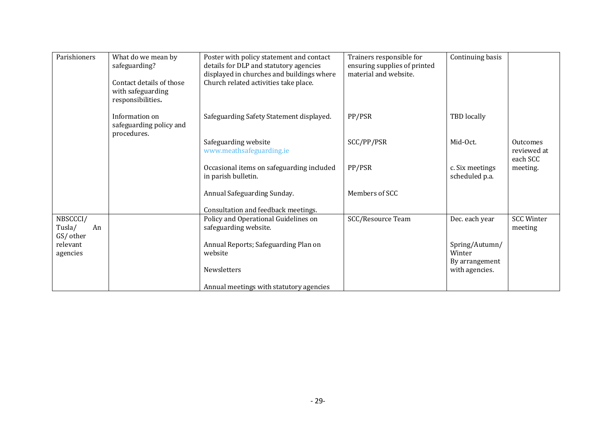| Parishioners | What do we mean by       | Poster with policy statement and contact  | Trainers responsible for     | Continuing basis |                   |
|--------------|--------------------------|-------------------------------------------|------------------------------|------------------|-------------------|
|              | safeguarding?            | details for DLP and statutory agencies    | ensuring supplies of printed |                  |                   |
|              |                          | displayed in churches and buildings where | material and website.        |                  |                   |
|              | Contact details of those | Church related activities take place.     |                              |                  |                   |
|              | with safeguarding        |                                           |                              |                  |                   |
|              | responsibilities.        |                                           |                              |                  |                   |
|              |                          |                                           |                              |                  |                   |
|              | Information on           | Safeguarding Safety Statement displayed.  | PP/PSR                       | TBD locally      |                   |
|              | safeguarding policy and  |                                           |                              |                  |                   |
|              | procedures.              | Safeguarding website                      | SCC/PP/PSR                   | Mid-Oct.         | <b>Outcomes</b>   |
|              |                          | www.meathsafeguarding.ie                  |                              |                  | reviewed at       |
|              |                          |                                           |                              |                  | each SCC          |
|              |                          | Occasional items on safeguarding included | PP/PSR                       | c. Six meetings  | meeting.          |
|              |                          | in parish bulletin.                       |                              | scheduled p.a.   |                   |
|              |                          |                                           |                              |                  |                   |
|              |                          | Annual Safeguarding Sunday.               | Members of SCC               |                  |                   |
|              |                          |                                           |                              |                  |                   |
|              |                          | Consultation and feedback meetings.       |                              |                  |                   |
| NBSCCCI/     |                          | Policy and Operational Guidelines on      | <b>SCC/Resource Team</b>     | Dec. each year   | <b>SCC Winter</b> |
| Tusla/<br>An |                          | safeguarding website.                     |                              |                  | meeting           |
| GS/ other    |                          |                                           |                              |                  |                   |
| relevant     |                          | Annual Reports; Safeguarding Plan on      |                              | Spring/Autumn/   |                   |
| agencies     |                          | website                                   |                              | Winter           |                   |
|              |                          |                                           |                              | By arrangement   |                   |
|              |                          | Newsletters                               |                              | with agencies.   |                   |
|              |                          | Annual meetings with statutory agencies   |                              |                  |                   |
|              |                          |                                           |                              |                  |                   |